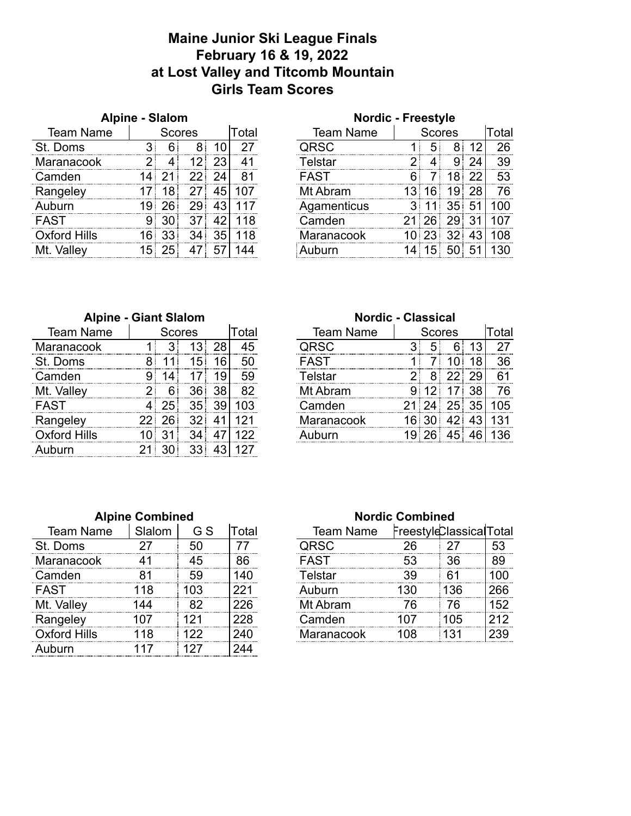## **Maine Junior Ski League Finals February 16 & 19, 2022 at Lost Valley and Titcomb Mountain Girls Team Scores**

| <b>Alpine - Slalom</b> |       |        |  |  |       | <b>Nordic - Freestyle</b> |               |  |   |    |       |
|------------------------|-------|--------|--|--|-------|---------------------------|---------------|--|---|----|-------|
| <b>Team Name</b>       |       | Scores |  |  | Total | <b>Team Name</b>          | <b>Scores</b> |  |   |    | Total |
| St. Doms               |       |        |  |  |       | JRSC                      |               |  |   |    | 26    |
| Maranacook             | っ     |        |  |  |       | elstar                    |               |  | 9 |    | 39    |
| Camden                 |       |        |  |  | 81    | <b>FAST</b>               |               |  | 8 |    | 53    |
| Rangeley               |       | 8.     |  |  |       | Mt Ahram                  |               |  | р | 28 | 76    |
| hurn                   |       |        |  |  |       | Agamenticus               |               |  |   |    | იი    |
| FAST                   |       |        |  |  |       | `amden                    |               |  |   |    |       |
| Oxford Hills           |       |        |  |  | Я     | Maranacook                |               |  |   |    |       |
| Valley                 | $15-$ |        |  |  |       |                           |               |  |   |    |       |

| <b>AIDITE - SIAIUIII</b> |     |               |    |       |                  | <b>NOTAIL</b> - LIGGSTAIG |               |     |                 |                |     |  |
|--------------------------|-----|---------------|----|-------|------------------|---------------------------|---------------|-----|-----------------|----------------|-----|--|
| Team Name                |     | <b>Scores</b> |    | Total | <b>Team Name</b> |                           | <b>Scores</b> |     |                 | Total          |     |  |
| Doms                     |     |               |    |       |                  | <b>CRSC</b>               |               |     |                 |                | 26  |  |
| aranacook                |     |               |    |       |                  | Γelstar                   |               |     |                 |                | 39  |  |
| amden                    |     |               |    |       |                  | FAST                      |               |     |                 |                | 53  |  |
| angeley                  |     |               |    |       |                  | Mt Abram                  |               | 16៖ | 9               | 28             | 76  |  |
| iburn                    |     |               | 29 | 43    |                  | Agamenticus               |               |     | 35              | 5 <sup>1</sup> | 00  |  |
| ۱ST                      | 9   |               |    | 42    | 118              | Camden                    | 2             | 26. |                 | 31             |     |  |
| <b>d</b> ord Hills       |     |               |    | 35    | 18               | Maranacook                |               | 23  | 32 <sup>1</sup> | 43             | 108 |  |
| Valley                   | 15. |               |    |       |                  |                           |               |     | 50              |                |     |  |
|                          |     |               |    |       |                  |                           |               |     |                 |                |     |  |

| <b>Alpine - Giant Slalom</b> |   |        |    |  | <b>Nordic - Classical</b> |                  |        |   |  |   |       |
|------------------------------|---|--------|----|--|---------------------------|------------------|--------|---|--|---|-------|
| <b>Team Name</b>             |   | Scores |    |  | otal                      | <b>Team Name</b> | Scores |   |  |   | Total |
| Maranacook                   |   |        |    |  | 45                        | IRSC.            |        |   |  |   |       |
| St<br><b>Doms</b>            | о |        |    |  | 50                        | FAST             |        |   |  | 8 | 36    |
| ∵ิลmden                      |   |        |    |  |                           | <b>Telstar</b>   |        | я |  |   | 61    |
| Mt. Valley                   |   |        |    |  |                           | Mt Ahram         |        |   |  |   | 76    |
| ⊏AST                         |   |        | 35 |  |                           | :amden           |        |   |  |   | 05    |
| Rangeley                     |   |        |    |  |                           | Maranacook       |        |   |  |   |       |
| Oxford Hills                 |   |        |    |  |                           |                  |        |   |  |   |       |
|                              |   |        |    |  |                           |                  |        |   |  |   |       |

|                              |     |               |     |       |                  | <b>Nordic - Classical</b> |  |  |  |       |    |  |
|------------------------------|-----|---------------|-----|-------|------------------|---------------------------|--|--|--|-------|----|--|
| <b>Alpine - Giant Slalom</b> |     |               |     |       |                  |                           |  |  |  |       |    |  |
| <b>Team Name</b>             |     | Scores        |     | Total | <b>Team Name</b> | <b>Scores</b>             |  |  |  | ⊺otal |    |  |
| aranacook                    |     |               | З   |       | 45               | IRSC.                     |  |  |  |       |    |  |
| ിറന്നട                       |     |               | 5   |       | 50               | FAST                      |  |  |  |       | 36 |  |
| ımden                        |     |               |     |       | 59               | elstar                    |  |  |  |       | 61 |  |
| Vallev                       |     | 6             |     |       |                  | Ahram                     |  |  |  |       |    |  |
|                              |     |               |     |       |                  | `amden                    |  |  |  |       | በ5 |  |
| naelev                       |     |               |     |       |                  | laranacook                |  |  |  |       |    |  |
|                              |     |               |     |       |                  |                           |  |  |  |       |    |  |
| متحدد والما                  | CA. | $\sim$ $\sim$ | nn: | 101   | $\sqrt{2}$       |                           |  |  |  |       |    |  |

|                     | <b>Alpine Combined</b> |     |       | <b>Nordic Combined</b> |                  |    |                        |     |  |  |
|---------------------|------------------------|-----|-------|------------------------|------------------|----|------------------------|-----|--|--|
| <b>Team Name</b>    | Slalom                 | G S | Total |                        | <b>Team Name</b> |    | FreestyleClassicalTota |     |  |  |
| St. Doms            |                        | 50  |       |                        | JRSC             |    |                        | 53  |  |  |
| <b>Maranacook</b>   |                        | 45  | 86    |                        | FAST             | 53 | 36                     | 89  |  |  |
| Camden              |                        | 59  |       |                        | elstar           |    | 61                     | 00  |  |  |
| FAST                |                        |     |       |                        |                  | חצ | 36                     | 266 |  |  |
| Mt. Valley          |                        |     |       |                        | Mt Abram         | ้ค | 76                     | 52  |  |  |
| Rangeley            |                        |     |       |                        | Camden           |    | 105                    | 212 |  |  |
| <b>Oxford Hills</b> |                        |     | 240   |                        | Maranacook       | ገጸ | 31                     | 239 |  |  |
|                     |                        |     |       |                        |                  |    |                        |     |  |  |

|                    | <b>Alpine Combined</b> |     |       | <b>Nordic Combined</b> |    |                         |     |  |  |  |
|--------------------|------------------------|-----|-------|------------------------|----|-------------------------|-----|--|--|--|
| <b>Team Name</b>   | Slalom                 | G S | Total | Team Name              |    | FreestyleClassicalTotal |     |  |  |  |
| Doms               |                        | 50  |       |                        |    |                         | -53 |  |  |  |
| aranacook          |                        | 45  | 86    | FAST                   | 53 | 36                      | 89  |  |  |  |
| ımder              |                        | 59  |       | elstar                 | 39 |                         |     |  |  |  |
|                    |                        |     |       | ihurn                  | חצ | 36.                     | 266 |  |  |  |
| Vallev             |                        |     |       | Mt Abram               |    | 76                      | .52 |  |  |  |
| anaelev            |                        |     |       | `amden                 |    | በ5                      |     |  |  |  |
| <b>cford Hills</b> |                        |     |       | Maranacook             |    |                         |     |  |  |  |
|                    |                        |     |       |                        |    |                         |     |  |  |  |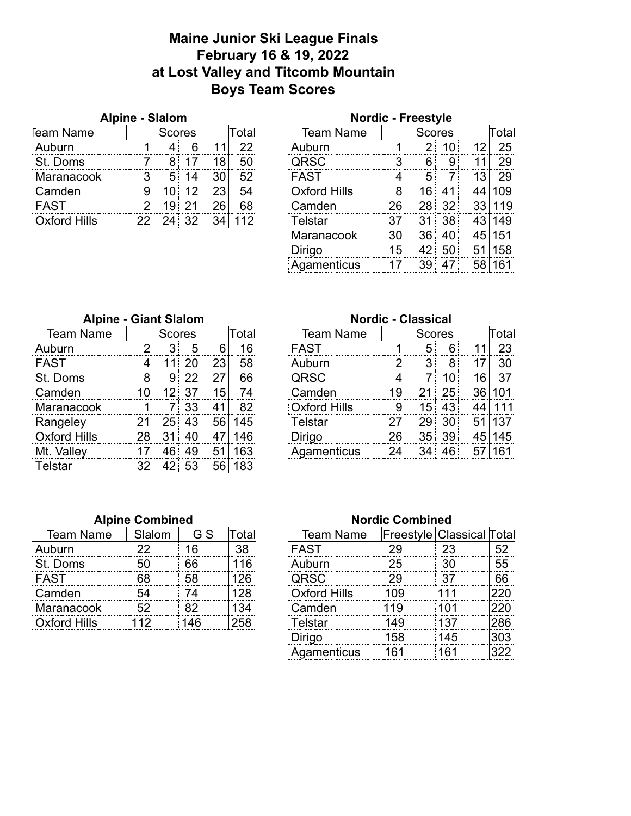#### **Maine Junior Ski League Finals February 16 & 19, 2022 at Lost Valley and Titcomb Mountain Boys Team Scores**

|                  | Alpine - Slalom |               |  |  |                   | <b>Nordic - Freestyle</b> |        |  |  |  |       |
|------------------|-----------------|---------------|--|--|-------------------|---------------------------|--------|--|--|--|-------|
| <b>Team Name</b> |                 | <b>Scores</b> |  |  | <sup>-</sup> otal | <b>Team Name</b>          | Scores |  |  |  | ⊺otal |
| Auburn           |                 |               |  |  |                   |                           |        |  |  |  | 25    |
| St. Doms         |                 |               |  |  | 50                | IRSC.                     |        |  |  |  |       |
| Maranacook       |                 |               |  |  | らつ                | FAST                      |        |  |  |  |       |
| Camden           |                 |               |  |  |                   | Oxford Hills              |        |  |  |  |       |
| -AST             |                 |               |  |  | 68                | Camden                    |        |  |  |  |       |
| elliH hınhvı     |                 |               |  |  |                   |                           |        |  |  |  |       |

| טושוטו              |     | $-1100001$      |                 |    |        |
|---------------------|-----|-----------------|-----------------|----|--------|
| <b>Team Name</b>    |     | lTotal          |                 |    |        |
| Auburn              | 1   | 2 <sup>1</sup>  | 10              | 12 | 25     |
| QRSC                | 3   | 6               | 9               | 11 | 29     |
| <b>FAST</b>         | 4   | 5               | 7               | 13 | 29     |
| <b>Oxford Hills</b> | 8   |                 | 16:41           | 44 | 109    |
| Camden              | 26: | 28:             | 32 <sup>1</sup> | 33 | 119    |
| <b>Telstar</b>      | 37  | 31 <sup>1</sup> | 38              |    | 43 149 |
| Maranacook          | 30  | 36              | 40              |    | 45 151 |
| Dirigo              | 15  | 42<br>i         | 50              | 51 | 158    |
| Agamenticus         | 17  | 39 <sub>1</sub> | 47              | 58 | 161    |
|                     |     |                 |                 |    |        |

| <b>Alpine - Giant Slalom</b> |                        |         |                |    |     |  |  |  |  |  |  |  |
|------------------------------|------------------------|---------|----------------|----|-----|--|--|--|--|--|--|--|
| <b>Team Name</b>             | Total<br><b>Scores</b> |         |                |    |     |  |  |  |  |  |  |  |
| Auburn                       | $\overline{2}$         | 3       | 5              | 6  | 16  |  |  |  |  |  |  |  |
| <b>FAST</b>                  | 4                      | 11      | -20            | 23 | 58  |  |  |  |  |  |  |  |
| St. Doms                     | 8                      |         | $9 \,   \, 22$ | 27 | 66  |  |  |  |  |  |  |  |
| Camden                       | 10                     |         | $12$ 37        | 15 | 74  |  |  |  |  |  |  |  |
| Maranacook                   | 1                      | 7:      | -33            | 41 | 82  |  |  |  |  |  |  |  |
| Rangeley                     | 21                     |         | $25$ 43        | 56 | 145 |  |  |  |  |  |  |  |
| <b>Oxford Hills</b>          | 28                     | 31<br>į | 40             | 47 | 146 |  |  |  |  |  |  |  |
| Mt. Valley                   | 17                     | 46      | 49             | 51 | 163 |  |  |  |  |  |  |  |
| <b>Telstar</b>               | 32                     |         | 42 53          | 56 | 183 |  |  |  |  |  |  |  |

#### **Alpine Combined Nordic Combined**

| Team Name           | ilalom | G S | ntal | Team Name           | Freestyle   Classical  Tota |    |
|---------------------|--------|-----|------|---------------------|-----------------------------|----|
|                     |        |     | 38   | 5AST                |                             | cη |
| <b>Doms</b>         |        | ิคค |      | iburn               |                             | 55 |
|                     |        |     |      |                     |                             | 66 |
| Camden              |        |     |      | <b>Dxford Hills</b> |                             |    |
| Maranacook          |        |     |      | mden                |                             |    |
| <b>Oxford Hills</b> |        |     |      |                     |                             |    |

#### **Nordic - Classical**

| <b>Team Name</b> |    | Scores |    |    | Total | <b>Team Name</b> | <b>Scores</b> |     |    | Total |     |
|------------------|----|--------|----|----|-------|------------------|---------------|-----|----|-------|-----|
| Auburn           |    |        | b  |    |       | FAST             |               |     |    |       | 23  |
| FAST             |    |        |    | 23 | 58    | ihurn            |               |     |    |       | 30  |
| St. Doms         |    |        |    |    | 66    | 1RSC             |               |     |    | ิค    |     |
| Camden           |    |        |    | 15 |       | Camden           |               |     | 25 |       |     |
| Maranacook       |    |        |    | 41 | 82    | Oxford Hills     |               | h   |    |       |     |
| Rangeley         |    | 25     | 43 | 56 | '45   | elstar           |               | -29 | 30 |       | 137 |
| Oxford Hills     | 28 |        |    |    | .46   | <b>Dirigo</b>    | 26            | 35  | 39 |       | 145 |
| Mt. Valley       |    |        | 40 | 5  | 63    | Agamenticus      | 24            |     |    |       |     |
|                  |    |        |    |    |       |                  |               |     |    |       |     |

# Team Name Freestyle Classical Total<br>AST 29 23 52 Oxford Hills 109 111 220<br>Camden 119 101 220 Oxford Hills 112 146 258 Telstar 149 137 286 Dirigo 158 145 303 Agamenticus 161 161 322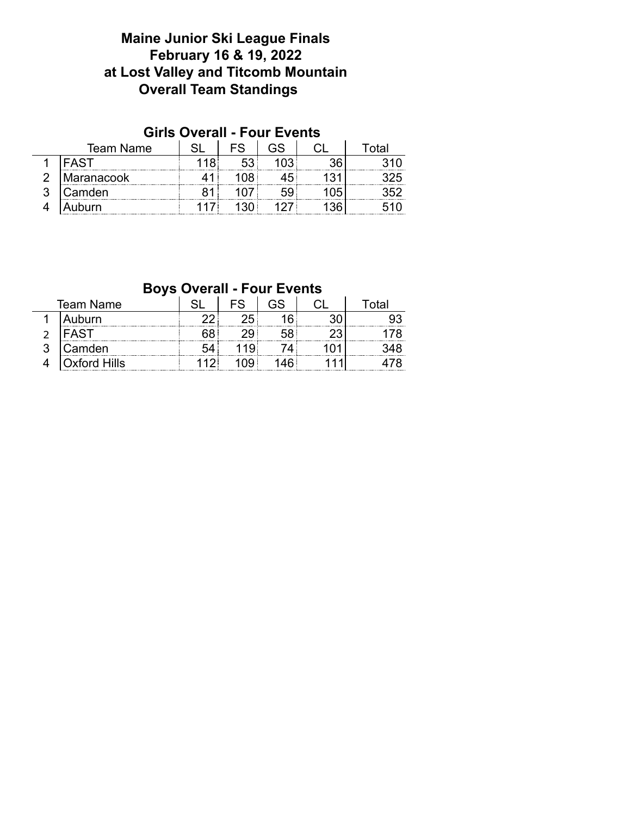### **Maine Junior Ski League Finals February 16 & 19, 2022 at Lost Valley and Titcomb Mountain Overall Team Standings**

#### **Girls Overall - Four Events**

| Team Name             |  |  |  |
|-----------------------|--|--|--|
|                       |  |  |  |
| <b>Maranacook</b><br> |  |  |  |
| Camden                |  |  |  |
| iburn                 |  |  |  |

#### **Boys Overall - Four Events**

| Team Name |                |  |  | ∩тя |
|-----------|----------------|--|--|-----|
|           | uburn<br>      |  |  |     |
|           |                |  |  |     |
|           | <br>Camden     |  |  |     |
|           | <br>ford Hills |  |  |     |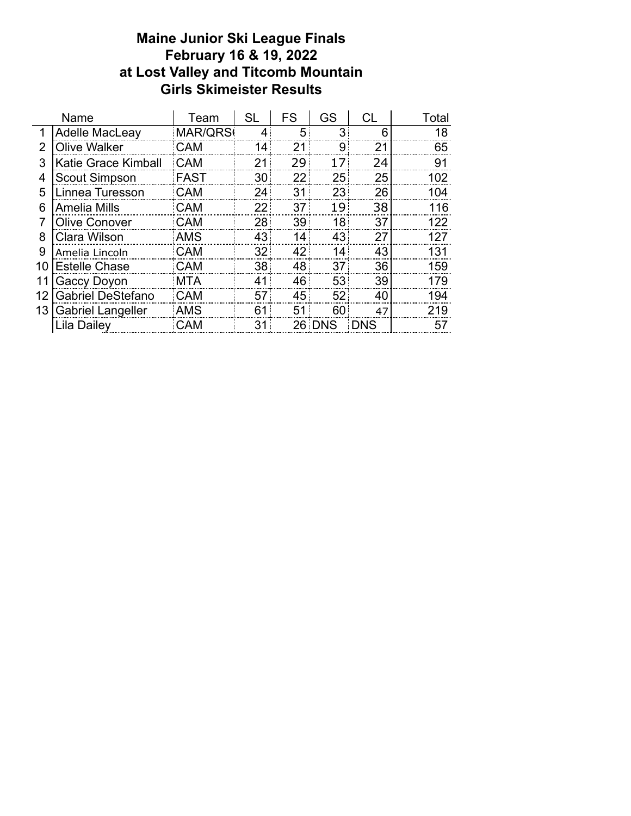#### **Maine Junior Ski League Finals February 16 & 19, 2022 at Lost Valley and Titcomb Mountain Girls Skimeister Results**

| Name |                          | Team        | <b>SL</b> | <b>FS</b>       | GS              | СL         | Total |
|------|--------------------------|-------------|-----------|-----------------|-----------------|------------|-------|
| 1    | Adelle MacLeay           | MAR/QRS     | 4         | 5               | 3               | 6          | 18    |
| 2    | <b>Olive Walker</b>      | <b>CAM</b>  | 14        | 21              | 9               | 21         | 65    |
| 3    | Katie Grace Kimball      | <b>CAM</b>  | 21        | 29              | 17              | 24         | 91    |
| 4    | <b>Scout Simpson</b>     | <b>FAST</b> | 30        | 22              | 25              | 25         | 102   |
| 5    | Linnea Turesson          | <b>CAM</b>  | 24        | 31              | 23              | 26         | 104   |
| 6    | <b>Amelia Mills</b>      | <b>CAM</b>  | 22:       | 37 <sup>1</sup> | 19 <sup>1</sup> | 38         | 116   |
|      | <b>Olive Conover</b>     | <b>CAM</b>  | 28        | 39              | 18              | 37         | 122   |
| 8    | Clara Wilson             | <b>AMS</b>  | 43        | 14              | 43              | 27         | 127   |
| 9    | Amelia Lincoln           | <b>CAM</b>  | 32        | 42              | 14              | 43         | 131   |
| 10   | <b>Estelle Chase</b>     | <b>CAM</b>  | 38        | 48              | 37              | 36         | 159   |
|      | Gaccy Doyon              | MTA         | 41        | 46              | 53              | 39         | 179   |
| 12   | <b>Gabriel DeStefano</b> | CAM         | 57        | 45              | 52              | 40         | 194   |
| 13   | <b>Gabriel Langeller</b> | <b>AMS</b>  | 61        | 51              | 60              | 47         | 219   |
|      | Lila Dailey              | <b>CAM</b>  | 31        |                 | 26 DNS          | <b>DNS</b> | 57    |